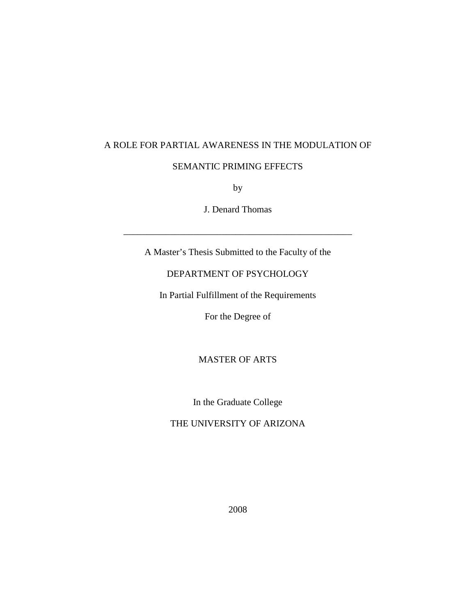## A ROLE FOR PARTIAL AWARENESS IN THE MODULATION OF

## SEMANTIC PRIMING EFFECTS

by

J. Denard Thomas

\_\_\_\_\_\_\_\_\_\_\_\_\_\_\_\_\_\_\_\_\_\_\_\_\_\_\_\_\_\_\_\_\_\_\_\_\_\_\_\_\_\_\_\_\_\_\_\_\_

A Master's Thesis Submitted to the Faculty of the

# DEPARTMENT OF PSYCHOLOGY

In Partial Fulfillment of the Requirements

For the Degree of

# MASTER OF ARTS

In the Graduate College

## THE UNIVERSITY OF ARIZONA

2008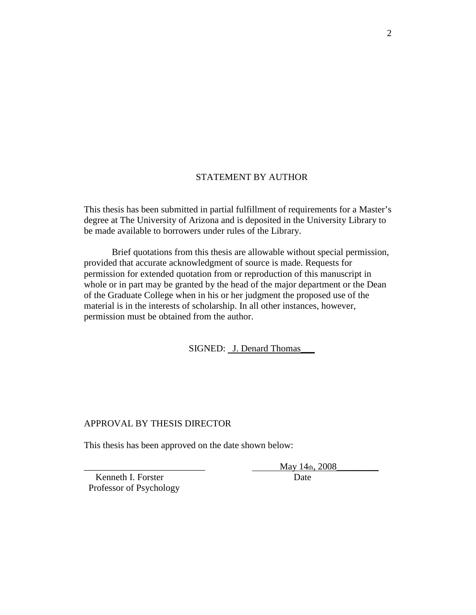## STATEMENT BY AUTHOR

This thesis has been submitted in partial fulfillment of requirements for a Master's degree at The University of Arizona and is deposited in the University Library to be made available to borrowers under rules of the Library.

Brief quotations from this thesis are allowable without special permission, provided that accurate acknowledgment of source is made. Requests for permission for extended quotation from or reproduction of this manuscript in whole or in part may be granted by the head of the major department or the Dean of the Graduate College when in his or her judgment the proposed use of the material is in the interests of scholarship. In all other instances, however, permission must be obtained from the author.

SIGNED: J. Denard Thomas\_\_\_

## APPROVAL BY THESIS DIRECTOR

This thesis has been approved on the date shown below:

May 14th, 2008

Kenneth I. Forster Date Professor of Psychology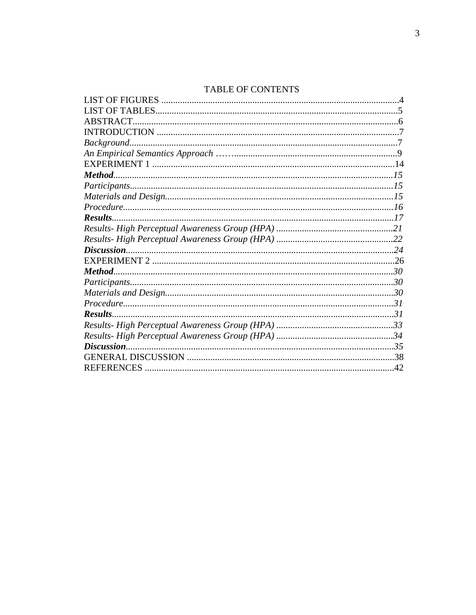# **TABLE OF CONTENTS**

| ABSTRACT.         |  |
|-------------------|--|
|                   |  |
| Background.       |  |
|                   |  |
|                   |  |
|                   |  |
|                   |  |
|                   |  |
|                   |  |
| Results.          |  |
|                   |  |
|                   |  |
|                   |  |
|                   |  |
| Method            |  |
|                   |  |
|                   |  |
|                   |  |
| Results.          |  |
|                   |  |
|                   |  |
|                   |  |
|                   |  |
| <b>REFERENCES</b> |  |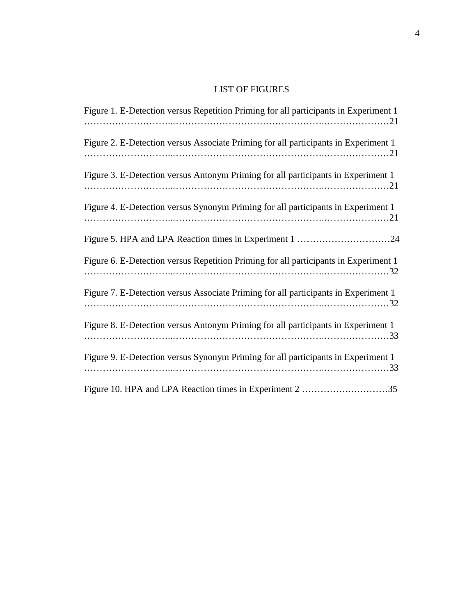# LIST OF FIGURES

| Figure 1. E-Detection versus Repetition Priming for all participants in Experiment 1 |
|--------------------------------------------------------------------------------------|
| Figure 2. E-Detection versus Associate Priming for all participants in Experiment 1  |
| Figure 3. E-Detection versus Antonym Priming for all participants in Experiment 1    |
| Figure 4. E-Detection versus Synonym Priming for all participants in Experiment 1    |
|                                                                                      |
| Figure 6. E-Detection versus Repetition Priming for all participants in Experiment 1 |
| Figure 7. E-Detection versus Associate Priming for all participants in Experiment 1  |
| Figure 8. E-Detection versus Antonym Priming for all participants in Experiment 1    |
| Figure 9. E-Detection versus Synonym Priming for all participants in Experiment 1    |
| Figure 10. HPA and LPA Reaction times in Experiment 2 35                             |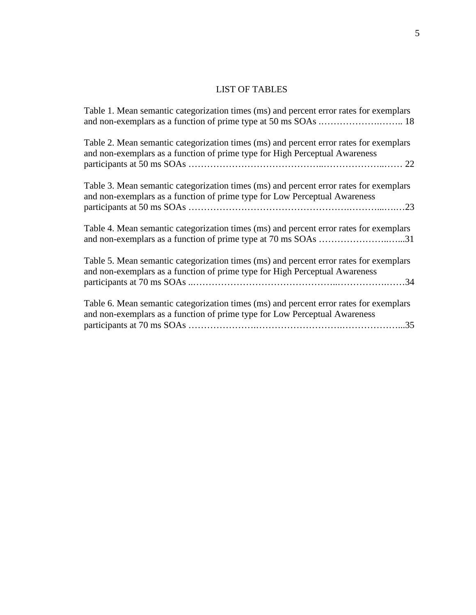# LIST OF TABLES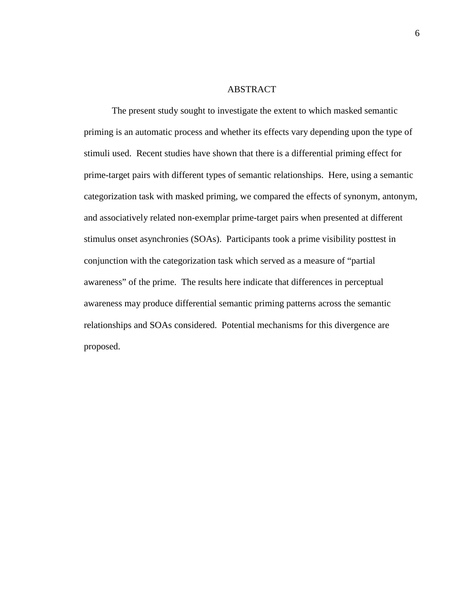#### ABSTRACT

The present study sought to investigate the extent to which masked semantic priming is an automatic process and whether its effects vary depending upon the type of stimuli used. Recent studies have shown that there is a differential priming effect for prime-target pairs with different types of semantic relationships. Here, using a semantic categorization task with masked priming, we compared the effects of synonym, antonym, and associatively related non-exemplar prime-target pairs when presented at different stimulus onset asynchronies (SOAs). Participants took a prime visibility posttest in conjunction with the categorization task which served as a measure of "partial awareness" of the prime. The results here indicate that differences in perceptual awareness may produce differential semantic priming patterns across the semantic relationships and SOAs considered. Potential mechanisms for this divergence are proposed.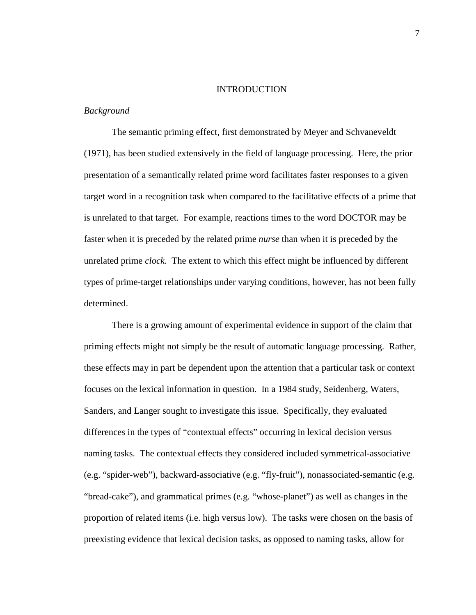#### **INTRODUCTION**

## *Background*

The semantic priming effect, first demonstrated by Meyer and Schvaneveldt (1971), has been studied extensively in the field of language processing. Here, the prior presentation of a semantically related prime word facilitates faster responses to a given target word in a recognition task when compared to the facilitative effects of a prime that is unrelated to that target. For example, reactions times to the word DOCTOR may be faster when it is preceded by the related prime *nurse* than when it is preceded by the unrelated prime *clock*. The extent to which this effect might be influenced by different types of prime-target relationships under varying conditions, however, has not been fully determined.

There is a growing amount of experimental evidence in support of the claim that priming effects might not simply be the result of automatic language processing. Rather, these effects may in part be dependent upon the attention that a particular task or context focuses on the lexical information in question. In a 1984 study, Seidenberg, Waters, Sanders, and Langer sought to investigate this issue. Specifically, they evaluated differences in the types of "contextual effects" occurring in lexical decision versus naming tasks. The contextual effects they considered included symmetrical-associative (e.g. "spider-web"), backward-associative (e.g. "fly-fruit"), nonassociated-semantic (e.g. "bread-cake"), and grammatical primes (e.g. "whose-planet") as well as changes in the proportion of related items (i.e. high versus low). The tasks were chosen on the basis of preexisting evidence that lexical decision tasks, as opposed to naming tasks, allow for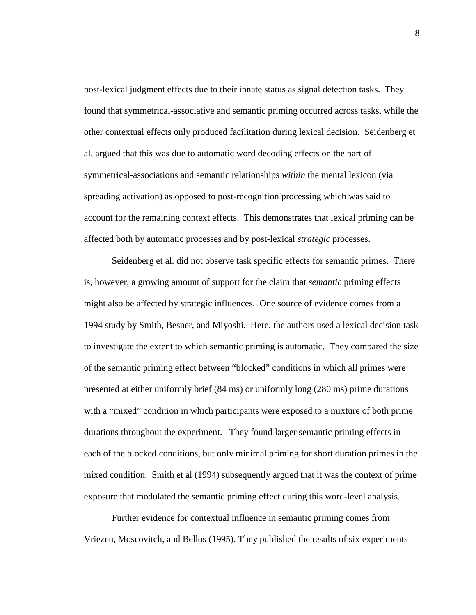post-lexical judgment effects due to their innate status as signal detection tasks. They found that symmetrical-associative and semantic priming occurred across tasks, while the other contextual effects only produced facilitation during lexical decision. Seidenberg et al. argued that this was due to automatic word decoding effects on the part of symmetrical-associations and semantic relationships *within* the mental lexicon (via spreading activation) as opposed to post-recognition processing which was said to account for the remaining context effects. This demonstrates that lexical priming can be affected both by automatic processes and by post-lexical *strategic* processes.

Seidenberg et al. did not observe task specific effects for semantic primes. There is, however, a growing amount of support for the claim that *semantic* priming effects might also be affected by strategic influences. One source of evidence comes from a 1994 study by Smith, Besner, and Miyoshi. Here, the authors used a lexical decision task to investigate the extent to which semantic priming is automatic. They compared the size of the semantic priming effect between "blocked" conditions in which all primes were presented at either uniformly brief (84 ms) or uniformly long (280 ms) prime durations with a "mixed" condition in which participants were exposed to a mixture of both prime durations throughout the experiment. They found larger semantic priming effects in each of the blocked conditions, but only minimal priming for short duration primes in the mixed condition. Smith et al (1994) subsequently argued that it was the context of prime exposure that modulated the semantic priming effect during this word-level analysis.

Further evidence for contextual influence in semantic priming comes from Vriezen, Moscovitch, and Bellos (1995). They published the results of six experiments

8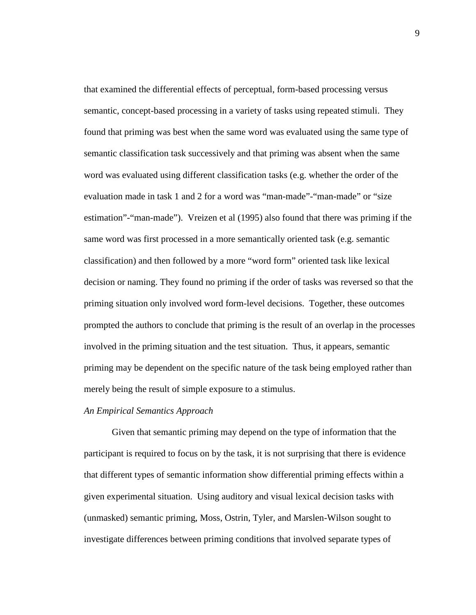that examined the differential effects of perceptual, form-based processing versus semantic, concept-based processing in a variety of tasks using repeated stimuli. They found that priming was best when the same word was evaluated using the same type of semantic classification task successively and that priming was absent when the same word was evaluated using different classification tasks (e.g. whether the order of the evaluation made in task 1 and 2 for a word was "man-made"-"man-made" or "size estimation"-"man-made"). Vreizen et al (1995) also found that there was priming if the same word was first processed in a more semantically oriented task (e.g. semantic classification) and then followed by a more "word form" oriented task like lexical decision or naming. They found no priming if the order of tasks was reversed so that the priming situation only involved word form-level decisions. Together, these outcomes prompted the authors to conclude that priming is the result of an overlap in the processes involved in the priming situation and the test situation. Thus, it appears, semantic priming may be dependent on the specific nature of the task being employed rather than merely being the result of simple exposure to a stimulus.

## *An Empirical Semantics Approach*

Given that semantic priming may depend on the type of information that the participant is required to focus on by the task, it is not surprising that there is evidence that different types of semantic information show differential priming effects within a given experimental situation. Using auditory and visual lexical decision tasks with (unmasked) semantic priming, Moss, Ostrin, Tyler, and Marslen-Wilson sought to investigate differences between priming conditions that involved separate types of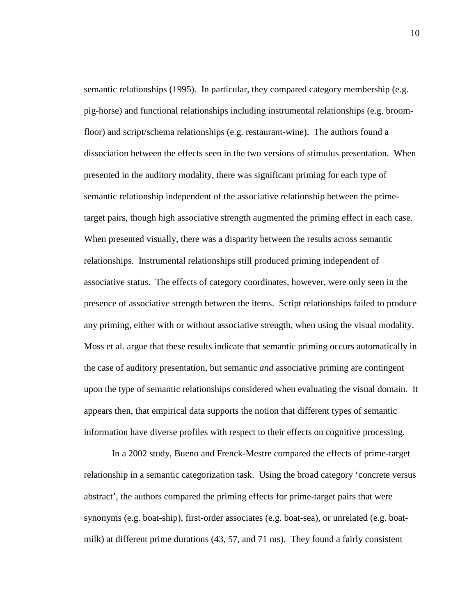semantic relationships (1995). In particular, they compared category membership (e.g. pig-horse) and functional relationships including instrumental relationships (e.g. broomfloor) and script/schema relationships (e.g. restaurant-wine). The authors found a dissociation between the effects seen in the two versions of stimulus presentation. When presented in the auditory modality, there was significant priming for each type of semantic relationship independent of the associative relationship between the primetarget pairs, though high associative strength augmented the priming effect in each case. When presented visually, there was a disparity between the results across semantic relationships. Instrumental relationships still produced priming independent of associative status. The effects of category coordinates, however, were only seen in the presence of associative strength between the items. Script relationships failed to produce any priming, either with or without associative strength, when using the visual modality. Moss et al. argue that these results indicate that semantic priming occurs automatically in the case of auditory presentation, but semantic *and* associative priming are contingent upon the type of semantic relationships considered when evaluating the visual domain. It appears then, that empirical data supports the notion that different types of semantic information have diverse profiles with respect to their effects on cognitive processing.

In a 2002 study, Bueno and Frenck-Mestre compared the effects of prime-target relationship in a semantic categorization task. Using the broad category 'concrete versus abstract', the authors compared the priming effects for prime-target pairs that were synonyms (e.g. boat-ship), first-order associates (e.g. boat-sea), or unrelated (e.g. boatmilk) at different prime durations (43, 57, and 71 ms). They found a fairly consistent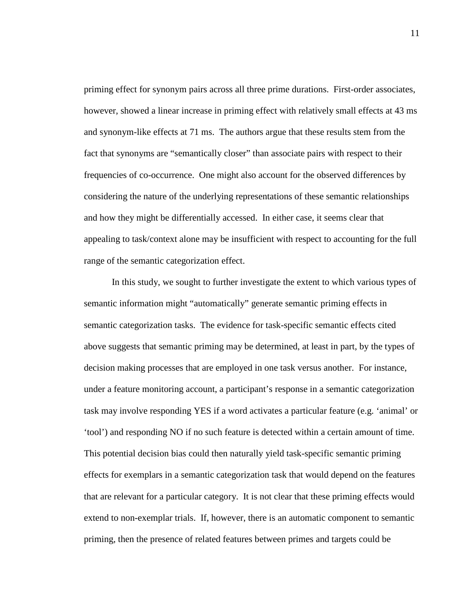priming effect for synonym pairs across all three prime durations. First-order associates, however, showed a linear increase in priming effect with relatively small effects at 43 ms and synonym-like effects at 71 ms. The authors argue that these results stem from the fact that synonyms are "semantically closer" than associate pairs with respect to their frequencies of co-occurrence. One might also account for the observed differences by considering the nature of the underlying representations of these semantic relationships and how they might be differentially accessed. In either case, it seems clear that appealing to task/context alone may be insufficient with respect to accounting for the full range of the semantic categorization effect.

In this study, we sought to further investigate the extent to which various types of semantic information might "automatically" generate semantic priming effects in semantic categorization tasks. The evidence for task-specific semantic effects cited above suggests that semantic priming may be determined, at least in part, by the types of decision making processes that are employed in one task versus another. For instance, under a feature monitoring account, a participant's response in a semantic categorization task may involve responding YES if a word activates a particular feature (e.g. 'animal' or 'tool') and responding NO if no such feature is detected within a certain amount of time. This potential decision bias could then naturally yield task-specific semantic priming effects for exemplars in a semantic categorization task that would depend on the features that are relevant for a particular category. It is not clear that these priming effects would extend to non-exemplar trials. If, however, there is an automatic component to semantic priming, then the presence of related features between primes and targets could be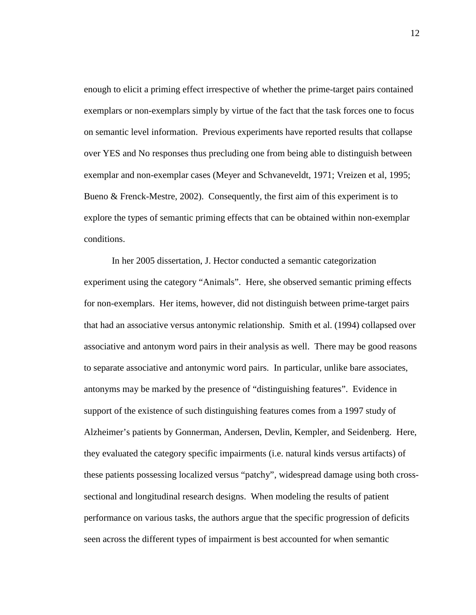enough to elicit a priming effect irrespective of whether the prime-target pairs contained exemplars or non-exemplars simply by virtue of the fact that the task forces one to focus on semantic level information. Previous experiments have reported results that collapse over YES and No responses thus precluding one from being able to distinguish between exemplar and non-exemplar cases (Meyer and Schvaneveldt, 1971; Vreizen et al, 1995; Bueno & Frenck-Mestre, 2002). Consequently, the first aim of this experiment is to explore the types of semantic priming effects that can be obtained within non-exemplar conditions.

In her 2005 dissertation, J. Hector conducted a semantic categorization experiment using the category "Animals". Here, she observed semantic priming effects for non-exemplars. Her items, however, did not distinguish between prime-target pairs that had an associative versus antonymic relationship. Smith et al. (1994) collapsed over associative and antonym word pairs in their analysis as well. There may be good reasons to separate associative and antonymic word pairs. In particular, unlike bare associates, antonyms may be marked by the presence of "distinguishing features". Evidence in support of the existence of such distinguishing features comes from a 1997 study of Alzheimer's patients by Gonnerman, Andersen, Devlin, Kempler, and Seidenberg. Here, they evaluated the category specific impairments (i.e. natural kinds versus artifacts) of these patients possessing localized versus "patchy", widespread damage using both crosssectional and longitudinal research designs. When modeling the results of patient performance on various tasks, the authors argue that the specific progression of deficits seen across the different types of impairment is best accounted for when semantic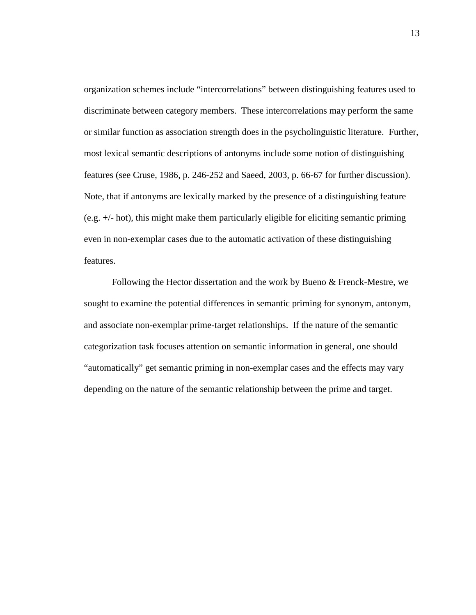organization schemes include "intercorrelations" between distinguishing features used to discriminate between category members. These intercorrelations may perform the same or similar function as association strength does in the psycholinguistic literature. Further, most lexical semantic descriptions of antonyms include some notion of distinguishing features (see Cruse, 1986, p. 246-252 and Saeed, 2003, p. 66-67 for further discussion). Note, that if antonyms are lexically marked by the presence of a distinguishing feature (e.g. +/- hot), this might make them particularly eligible for eliciting semantic priming even in non-exemplar cases due to the automatic activation of these distinguishing features.

Following the Hector dissertation and the work by Bueno & Frenck-Mestre, we sought to examine the potential differences in semantic priming for synonym, antonym, and associate non-exemplar prime-target relationships. If the nature of the semantic categorization task focuses attention on semantic information in general, one should "automatically" get semantic priming in non-exemplar cases and the effects may vary depending on the nature of the semantic relationship between the prime and target.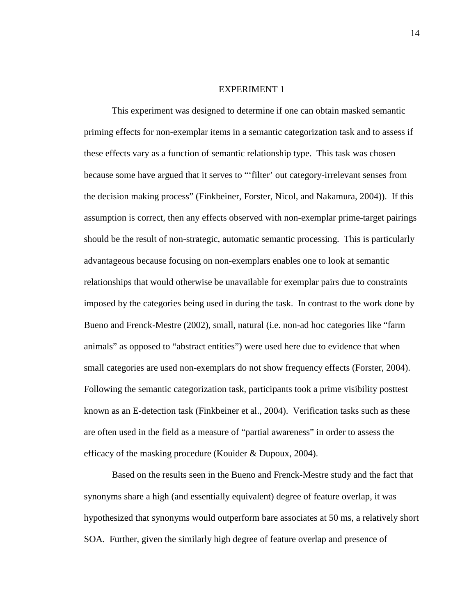#### EXPERIMENT 1

 This experiment was designed to determine if one can obtain masked semantic priming effects for non-exemplar items in a semantic categorization task and to assess if these effects vary as a function of semantic relationship type. This task was chosen because some have argued that it serves to "'filter' out category-irrelevant senses from the decision making process" (Finkbeiner, Forster, Nicol, and Nakamura, 2004)). If this assumption is correct, then any effects observed with non-exemplar prime-target pairings should be the result of non-strategic, automatic semantic processing. This is particularly advantageous because focusing on non-exemplars enables one to look at semantic relationships that would otherwise be unavailable for exemplar pairs due to constraints imposed by the categories being used in during the task. In contrast to the work done by Bueno and Frenck-Mestre (2002), small, natural (i.e. non-ad hoc categories like "farm animals" as opposed to "abstract entities") were used here due to evidence that when small categories are used non-exemplars do not show frequency effects (Forster, 2004). Following the semantic categorization task, participants took a prime visibility posttest known as an E-detection task (Finkbeiner et al., 2004). Verification tasks such as these are often used in the field as a measure of "partial awareness" in order to assess the efficacy of the masking procedure (Kouider & Dupoux, 2004).

Based on the results seen in the Bueno and Frenck-Mestre study and the fact that synonyms share a high (and essentially equivalent) degree of feature overlap, it was hypothesized that synonyms would outperform bare associates at 50 ms, a relatively short SOA. Further, given the similarly high degree of feature overlap and presence of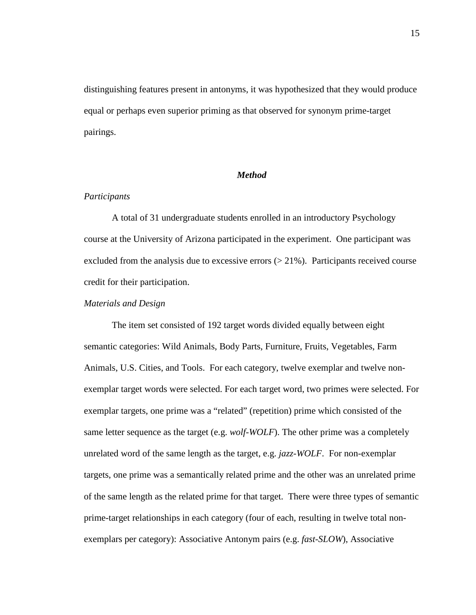distinguishing features present in antonyms, it was hypothesized that they would produce equal or perhaps even superior priming as that observed for synonym prime-target pairings.

## *Method*

#### *Participants*

A total of 31 undergraduate students enrolled in an introductory Psychology course at the University of Arizona participated in the experiment. One participant was excluded from the analysis due to excessive errors  $(21\%)$ . Participants received course credit for their participation.

## *Materials and Design*

 The item set consisted of 192 target words divided equally between eight semantic categories: Wild Animals, Body Parts, Furniture, Fruits, Vegetables, Farm Animals, U.S. Cities, and Tools. For each category, twelve exemplar and twelve nonexemplar target words were selected. For each target word, two primes were selected. For exemplar targets, one prime was a "related" (repetition) prime which consisted of the same letter sequence as the target (e.g. *wolf-WOLF*). The other prime was a completely unrelated word of the same length as the target, e.g. *jazz-WOLF*. For non-exemplar targets, one prime was a semantically related prime and the other was an unrelated prime of the same length as the related prime for that target. There were three types of semantic prime-target relationships in each category (four of each, resulting in twelve total nonexemplars per category): Associative Antonym pairs (e.g. *fast-SLOW*), Associative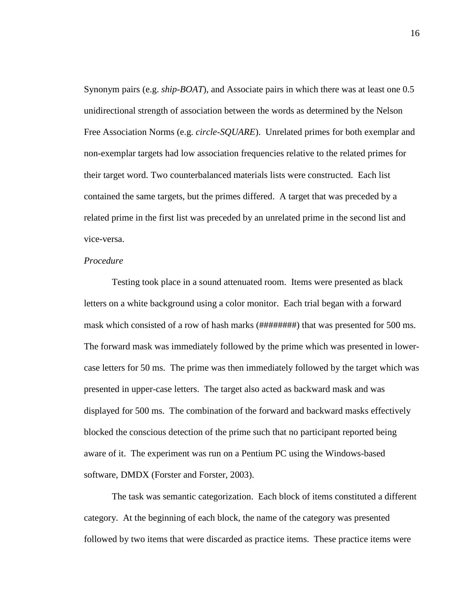Synonym pairs (e.g. *ship-BOAT*), and Associate pairs in which there was at least one 0.5 unidirectional strength of association between the words as determined by the Nelson Free Association Norms (e.g. *circle-SQUARE*). Unrelated primes for both exemplar and non-exemplar targets had low association frequencies relative to the related primes for their target word. Two counterbalanced materials lists were constructed. Each list contained the same targets, but the primes differed. A target that was preceded by a related prime in the first list was preceded by an unrelated prime in the second list and vice-versa.

#### *Procedure*

 Testing took place in a sound attenuated room. Items were presented as black letters on a white background using a color monitor. Each trial began with a forward mask which consisted of a row of hash marks (########) that was presented for 500 ms. The forward mask was immediately followed by the prime which was presented in lowercase letters for 50 ms. The prime was then immediately followed by the target which was presented in upper-case letters. The target also acted as backward mask and was displayed for 500 ms. The combination of the forward and backward masks effectively blocked the conscious detection of the prime such that no participant reported being aware of it. The experiment was run on a Pentium PC using the Windows-based software, DMDX (Forster and Forster, 2003).

 The task was semantic categorization. Each block of items constituted a different category. At the beginning of each block, the name of the category was presented followed by two items that were discarded as practice items. These practice items were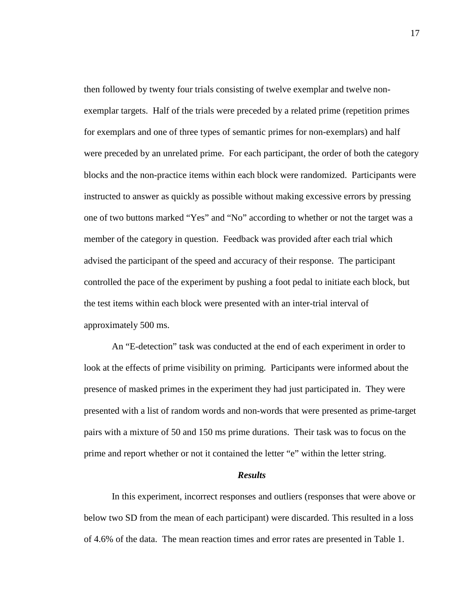then followed by twenty four trials consisting of twelve exemplar and twelve nonexemplar targets. Half of the trials were preceded by a related prime (repetition primes for exemplars and one of three types of semantic primes for non-exemplars) and half were preceded by an unrelated prime. For each participant, the order of both the category blocks and the non-practice items within each block were randomized. Participants were instructed to answer as quickly as possible without making excessive errors by pressing one of two buttons marked "Yes" and "No" according to whether or not the target was a member of the category in question. Feedback was provided after each trial which advised the participant of the speed and accuracy of their response. The participant controlled the pace of the experiment by pushing a foot pedal to initiate each block, but the test items within each block were presented with an inter-trial interval of approximately 500 ms.

 An "E-detection" task was conducted at the end of each experiment in order to look at the effects of prime visibility on priming. Participants were informed about the presence of masked primes in the experiment they had just participated in. They were presented with a list of random words and non-words that were presented as prime-target pairs with a mixture of 50 and 150 ms prime durations. Their task was to focus on the prime and report whether or not it contained the letter "e" within the letter string.

#### *Results*

 In this experiment, incorrect responses and outliers (responses that were above or below two SD from the mean of each participant) were discarded. This resulted in a loss of 4.6% of the data. The mean reaction times and error rates are presented in Table 1.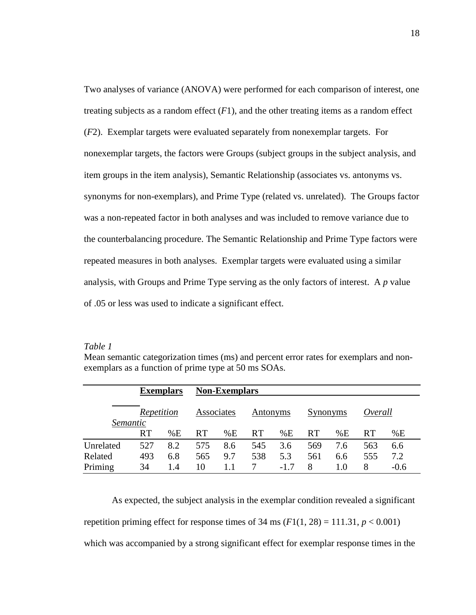Two analyses of variance (ANOVA) were performed for each comparison of interest, one treating subjects as a random effect  $(F1)$ , and the other treating items as a random effect (*F*2). Exemplar targets were evaluated separately from nonexemplar targets. For nonexemplar targets, the factors were Groups (subject groups in the subject analysis, and item groups in the item analysis), Semantic Relationship (associates vs. antonyms vs. synonyms for non-exemplars), and Prime Type (related vs. unrelated). The Groups factor was a non-repeated factor in both analyses and was included to remove variance due to the counterbalancing procedure. The Semantic Relationship and Prime Type factors were repeated measures in both analyses. Exemplar targets were evaluated using a similar analysis, with Groups and Prime Type serving as the only factors of interest. A *p* value of .05 or less was used to indicate a significant effect.

*Table 1* 

|           | <b>Exemplars</b> |     | <b>Non-Exemplars</b> |     |           |        |           |     |           |        |  |
|-----------|------------------|-----|----------------------|-----|-----------|--------|-----------|-----|-----------|--------|--|
| Semantic  | Repetition       |     | Associates           |     | Antonyms  |        | Synonyms  |     | Overall   |        |  |
|           | <b>RT</b>        | %E  | RT.                  | %E  | <b>RT</b> | %E     | <b>RT</b> | %E  | <b>RT</b> | %E     |  |
| Unrelated | 527              | 8.2 | 575                  | 8.6 | 545       | 3.6    | 569       | 7.6 | 563       | 6.6    |  |
| Related   | 493              | 6.8 | 565                  | 9.7 | 538       | 5.3    | 561       | 6.6 | 555       | 7.2    |  |
| Priming   | 34               | 1.4 | 10                   |     |           | $-1.7$ | 8         | 1.0 | 8         | $-0.6$ |  |

Mean semantic categorization times (ms) and percent error rates for exemplars and nonexemplars as a function of prime type at 50 ms SOAs.

 As expected, the subject analysis in the exemplar condition revealed a significant repetition priming effect for response times of  $34 \text{ ms } (F1(1, 28) = 111.31, p < 0.001)$ which was accompanied by a strong significant effect for exemplar response times in the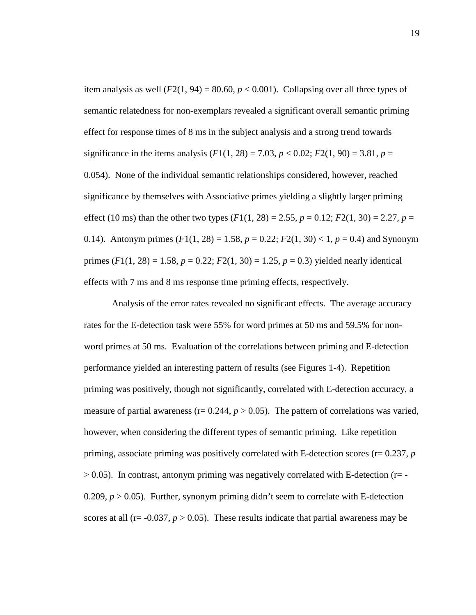item analysis as well  $(F2(1, 94) = 80.60, p < 0.001)$ . Collapsing over all three types of semantic relatedness for non-exemplars revealed a significant overall semantic priming effect for response times of 8 ms in the subject analysis and a strong trend towards significance in the items analysis  $(F1(1, 28) = 7.03, p < 0.02; F2(1, 90) = 3.81, p =$ 0.054). None of the individual semantic relationships considered, however, reached significance by themselves with Associative primes yielding a slightly larger priming effect (10 ms) than the other two types  $(F1(1, 28) = 2.55, p = 0.12; F2(1, 30) = 2.27, p =$ 0.14). Antonym primes  $(F1(1, 28) = 1.58, p = 0.22; F2(1, 30) < 1, p = 0.4)$  and Synonym primes  $(F1(1, 28) = 1.58$ ,  $p = 0.22$ ;  $F2(1, 30) = 1.25$ ,  $p = 0.3$ ) yielded nearly identical effects with 7 ms and 8 ms response time priming effects, respectively.

 Analysis of the error rates revealed no significant effects. The average accuracy rates for the E-detection task were 55% for word primes at 50 ms and 59.5% for nonword primes at 50 ms. Evaluation of the correlations between priming and E-detection performance yielded an interesting pattern of results (see Figures 1-4). Repetition priming was positively, though not significantly, correlated with E-detection accuracy, a measure of partial awareness ( $r= 0.244$ ,  $p > 0.05$ ). The pattern of correlations was varied, however, when considering the different types of semantic priming. Like repetition priming, associate priming was positively correlated with E-detection scores (r= 0.237, *p*  $> 0.05$ ). In contrast, antonym priming was negatively correlated with E-detection ( $r = -1$ ) 0.209,  $p > 0.05$ ). Further, synonym priming didn't seem to correlate with E-detection scores at all ( $r = -0.037$ ,  $p > 0.05$ ). These results indicate that partial awareness may be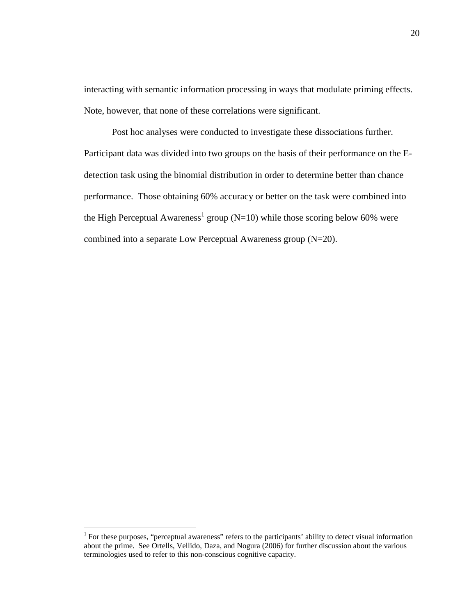interacting with semantic information processing in ways that modulate priming effects. Note, however, that none of these correlations were significant.

 Post hoc analyses were conducted to investigate these dissociations further. Participant data was divided into two groups on the basis of their performance on the Edetection task using the binomial distribution in order to determine better than chance performance. Those obtaining 60% accuracy or better on the task were combined into the High Perceptual Awareness<sup>1</sup> group (N=10) while those scoring below 60% were combined into a separate Low Perceptual Awareness group (N=20).

<u>.</u>

<sup>&</sup>lt;sup>1</sup> For these purposes, "perceptual awareness" refers to the participants' ability to detect visual information about the prime. See Ortells, Vellido, Daza, and Nogura (2006) for further discussion about the various terminologies used to refer to this non-conscious cognitive capacity.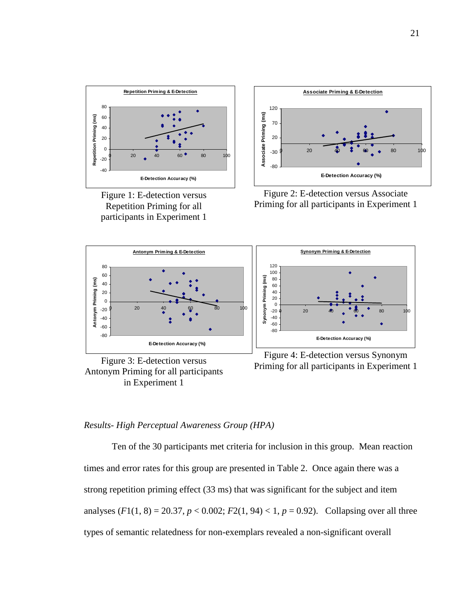

Figure 1: E-detection versus Repetition Priming for all participants in Experiment 1







Figure 2: E-detection versus Associate Priming for all participants in Experiment 1



Figure 4: E-detection versus Synonym Priming for all participants in Experiment 1

## *Results- High Perceptual Awareness Group (HPA)*

 Ten of the 30 participants met criteria for inclusion in this group. Mean reaction times and error rates for this group are presented in Table 2. Once again there was a strong repetition priming effect (33 ms) that was significant for the subject and item analyses  $(F1(1, 8) = 20.37, p < 0.002; F2(1, 94) < 1, p = 0.92)$ . Collapsing over all three types of semantic relatedness for non-exemplars revealed a non-significant overall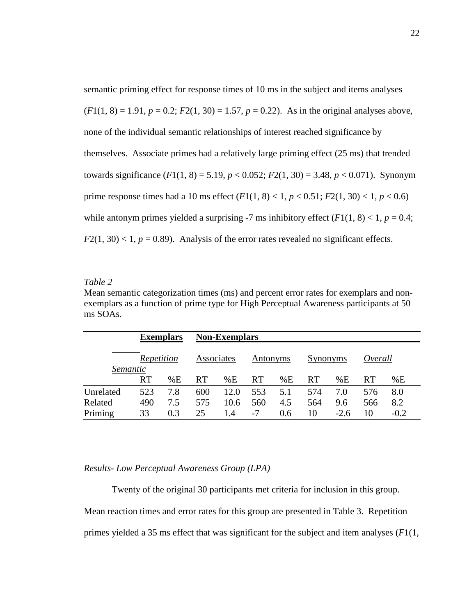semantic priming effect for response times of 10 ms in the subject and items analyses  $(F1(1, 8) = 1.91, p = 0.2; F2(1, 30) = 1.57, p = 0.22$ . As in the original analyses above, none of the individual semantic relationships of interest reached significance by themselves. Associate primes had a relatively large priming effect (25 ms) that trended towards significance  $(F1(1, 8) = 5.19, p < 0.052; F2(1, 30) = 3.48, p < 0.071$ ). Synonym prime response times had a 10 ms effect  $(F1(1, 8) < 1, p < 0.51; F2(1, 30) < 1, p < 0.6)$ while antonym primes yielded a surprising -7 ms inhibitory effect  $(F1(1, 8) < 1, p = 0.4;$  $F2(1, 30) < 1, p = 0.89$ . Analysis of the error rates revealed no significant effects.

## *Table 2*

Mean semantic categorization times (ms) and percent error rates for exemplars and nonexemplars as a function of prime type for High Perceptual Awareness participants at 50 ms SOAs.

|           | <b>Exemplars</b>       |     | <b>Non-Exemplars</b> |      |           |     |           |        |           |        |  |
|-----------|------------------------|-----|----------------------|------|-----------|-----|-----------|--------|-----------|--------|--|
|           | Repetition<br>Semantic |     | Associates           |      | Antonyms  |     | Synonyms  |        | Overall   |        |  |
|           | <b>RT</b>              | %E  | <b>RT</b>            | %E   | <b>RT</b> | %E  | <b>RT</b> | %E     | <b>RT</b> | %E     |  |
| Unrelated | 523                    | 7.8 | 600                  | 12.0 | 553       | 5.1 | 574       | 7.0    | 576       | 8.0    |  |
| Related   | 490                    | 7.5 | 575                  | 10.6 | 560       | 4.5 | 564       | 9.6    | 566       | 8.2    |  |
| Priming   | 33                     | 0.3 | 25                   | 1.4  | $-7$      | 0.6 | 10        | $-2.6$ | 10        | $-0.2$ |  |

#### *Results- Low Perceptual Awareness Group (LPA)*

Twenty of the original 30 participants met criteria for inclusion in this group.

Mean reaction times and error rates for this group are presented in Table 3. Repetition primes yielded a 35 ms effect that was significant for the subject and item analyses (*F*1(1,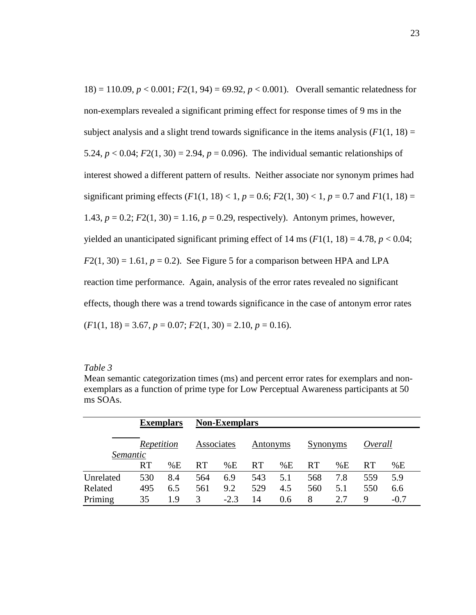18) = 110.09,  $p < 0.001$ ;  $F2(1, 94) = 69.92$ ,  $p < 0.001$ ). Overall semantic relatedness for non-exemplars revealed a significant priming effect for response times of 9 ms in the subject analysis and a slight trend towards significance in the items analysis  $(F1(1, 18)) =$ 5.24,  $p < 0.04$ ;  $F2(1, 30) = 2.94$ ,  $p = 0.096$ ). The individual semantic relationships of interest showed a different pattern of results. Neither associate nor synonym primes had significant priming effects  $(F1(1, 18) < 1, p = 0.6; F2(1, 30) < 1, p = 0.7$  and  $F1(1, 18) =$ 1.43,  $p = 0.2$ ;  $F2(1, 30) = 1.16$ ,  $p = 0.29$ , respectively). Antonym primes, however, yielded an unanticipated significant priming effect of  $14 \text{ ms } (F1(1, 18) = 4.78, p < 0.04;$  $F2(1, 30) = 1.61$ ,  $p = 0.2$ ). See Figure 5 for a comparison between HPA and LPA reaction time performance. Again, analysis of the error rates revealed no significant effects, though there was a trend towards significance in the case of antonym error rates  $(F1(1, 18) = 3.67, p = 0.07; F2(1, 30) = 2.10, p = 0.16$ .

| apte |  |
|------|--|
|      |  |

Mean semantic categorization times (ms) and percent error rates for exemplars and nonexemplars as a function of prime type for Low Perceptual Awareness participants at 50 ms SOAs.

|                        | <b>Exemplars</b> |     | <b>Non-Exemplars</b> |        |           |     |           |     |           |        |  |  |
|------------------------|------------------|-----|----------------------|--------|-----------|-----|-----------|-----|-----------|--------|--|--|
| Repetition<br>Semantic |                  |     | Associates           |        | Antonyms  |     | Synonyms  |     | Overall   |        |  |  |
|                        | <b>RT</b>        | %E  | <b>RT</b>            | %E     | <b>RT</b> | %E  | <b>RT</b> | %E  | <b>RT</b> | %E     |  |  |
| Unrelated              | 530              | 8.4 | 564                  | 6.9    | 543       | 5.1 | 568       | 7.8 | 559       | 5.9    |  |  |
| Related                | 495              | 6.5 | 561                  | 9.2    | 529       | 4.5 | 560       | 5.1 | 550       | 6.6    |  |  |
| Priming                | 35               | 19  |                      | $-2.3$ | 14        | 0.6 | 8         | 2.7 | 9         | $-0.7$ |  |  |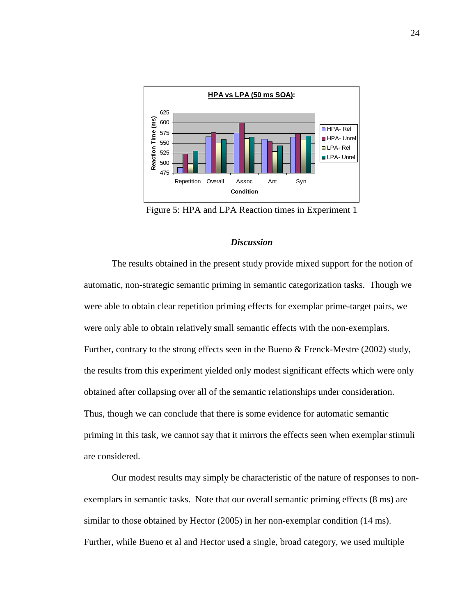

Figure 5: HPA and LPA Reaction times in Experiment 1

#### *Discussion*

 The results obtained in the present study provide mixed support for the notion of automatic, non-strategic semantic priming in semantic categorization tasks. Though we were able to obtain clear repetition priming effects for exemplar prime-target pairs, we were only able to obtain relatively small semantic effects with the non-exemplars. Further, contrary to the strong effects seen in the Bueno & Frenck-Mestre (2002) study, the results from this experiment yielded only modest significant effects which were only obtained after collapsing over all of the semantic relationships under consideration. Thus, though we can conclude that there is some evidence for automatic semantic priming in this task, we cannot say that it mirrors the effects seen when exemplar stimuli are considered.

 Our modest results may simply be characteristic of the nature of responses to nonexemplars in semantic tasks. Note that our overall semantic priming effects (8 ms) are similar to those obtained by Hector (2005) in her non-exemplar condition (14 ms). Further, while Bueno et al and Hector used a single, broad category, we used multiple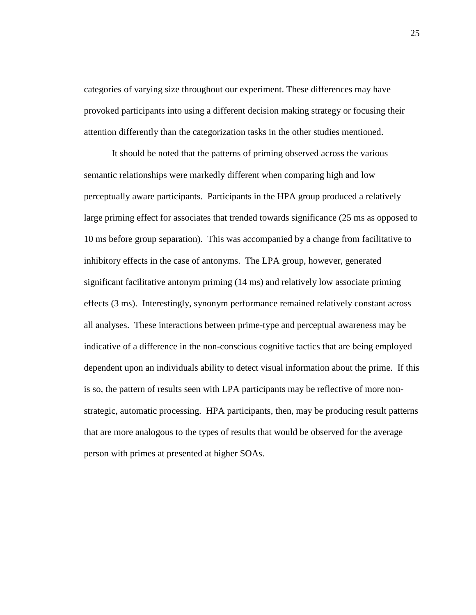categories of varying size throughout our experiment. These differences may have provoked participants into using a different decision making strategy or focusing their attention differently than the categorization tasks in the other studies mentioned.

 It should be noted that the patterns of priming observed across the various semantic relationships were markedly different when comparing high and low perceptually aware participants. Participants in the HPA group produced a relatively large priming effect for associates that trended towards significance (25 ms as opposed to 10 ms before group separation). This was accompanied by a change from facilitative to inhibitory effects in the case of antonyms. The LPA group, however, generated significant facilitative antonym priming (14 ms) and relatively low associate priming effects (3 ms). Interestingly, synonym performance remained relatively constant across all analyses. These interactions between prime-type and perceptual awareness may be indicative of a difference in the non-conscious cognitive tactics that are being employed dependent upon an individuals ability to detect visual information about the prime. If this is so, the pattern of results seen with LPA participants may be reflective of more nonstrategic, automatic processing. HPA participants, then, may be producing result patterns that are more analogous to the types of results that would be observed for the average person with primes at presented at higher SOAs.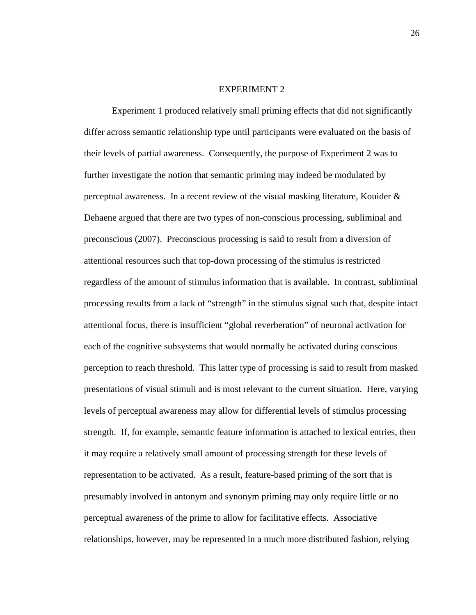#### EXPERIMENT 2

 Experiment 1 produced relatively small priming effects that did not significantly differ across semantic relationship type until participants were evaluated on the basis of their levels of partial awareness. Consequently, the purpose of Experiment 2 was to further investigate the notion that semantic priming may indeed be modulated by perceptual awareness. In a recent review of the visual masking literature, Kouider & Dehaene argued that there are two types of non-conscious processing, subliminal and preconscious (2007). Preconscious processing is said to result from a diversion of attentional resources such that top-down processing of the stimulus is restricted regardless of the amount of stimulus information that is available. In contrast, subliminal processing results from a lack of "strength" in the stimulus signal such that, despite intact attentional focus, there is insufficient "global reverberation" of neuronal activation for each of the cognitive subsystems that would normally be activated during conscious perception to reach threshold. This latter type of processing is said to result from masked presentations of visual stimuli and is most relevant to the current situation. Here, varying levels of perceptual awareness may allow for differential levels of stimulus processing strength. If, for example, semantic feature information is attached to lexical entries, then it may require a relatively small amount of processing strength for these levels of representation to be activated. As a result, feature-based priming of the sort that is presumably involved in antonym and synonym priming may only require little or no perceptual awareness of the prime to allow for facilitative effects. Associative relationships, however, may be represented in a much more distributed fashion, relying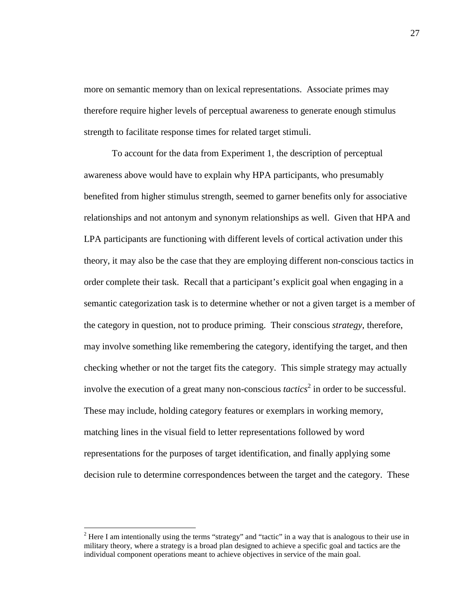more on semantic memory than on lexical representations. Associate primes may therefore require higher levels of perceptual awareness to generate enough stimulus strength to facilitate response times for related target stimuli.

 To account for the data from Experiment 1, the description of perceptual awareness above would have to explain why HPA participants, who presumably benefited from higher stimulus strength, seemed to garner benefits only for associative relationships and not antonym and synonym relationships as well. Given that HPA and LPA participants are functioning with different levels of cortical activation under this theory, it may also be the case that they are employing different non-conscious tactics in order complete their task. Recall that a participant's explicit goal when engaging in a semantic categorization task is to determine whether or not a given target is a member of the category in question, not to produce priming. Their conscious *strategy*, therefore, may involve something like remembering the category, identifying the target, and then checking whether or not the target fits the category. This simple strategy may actually involve the execution of a great many non-conscious *tactics*<sup>2</sup> in order to be successful. These may include, holding category features or exemplars in working memory, matching lines in the visual field to letter representations followed by word representations for the purposes of target identification, and finally applying some decision rule to determine correspondences between the target and the category. These

<u>.</u>

 $2$  Here I am intentionally using the terms "strategy" and "tactic" in a way that is analogous to their use in military theory, where a strategy is a broad plan designed to achieve a specific goal and tactics are the individual component operations meant to achieve objectives in service of the main goal.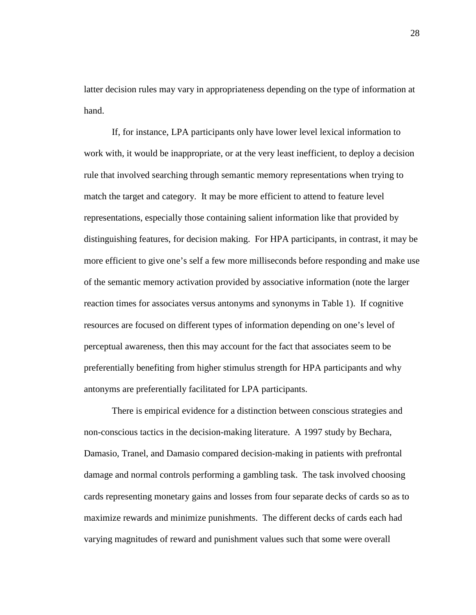latter decision rules may vary in appropriateness depending on the type of information at hand.

If, for instance, LPA participants only have lower level lexical information to work with, it would be inappropriate, or at the very least inefficient, to deploy a decision rule that involved searching through semantic memory representations when trying to match the target and category. It may be more efficient to attend to feature level representations, especially those containing salient information like that provided by distinguishing features, for decision making. For HPA participants, in contrast, it may be more efficient to give one's self a few more milliseconds before responding and make use of the semantic memory activation provided by associative information (note the larger reaction times for associates versus antonyms and synonyms in Table 1). If cognitive resources are focused on different types of information depending on one's level of perceptual awareness, then this may account for the fact that associates seem to be preferentially benefiting from higher stimulus strength for HPA participants and why antonyms are preferentially facilitated for LPA participants.

There is empirical evidence for a distinction between conscious strategies and non-conscious tactics in the decision-making literature. A 1997 study by Bechara, Damasio, Tranel, and Damasio compared decision-making in patients with prefrontal damage and normal controls performing a gambling task. The task involved choosing cards representing monetary gains and losses from four separate decks of cards so as to maximize rewards and minimize punishments. The different decks of cards each had varying magnitudes of reward and punishment values such that some were overall

28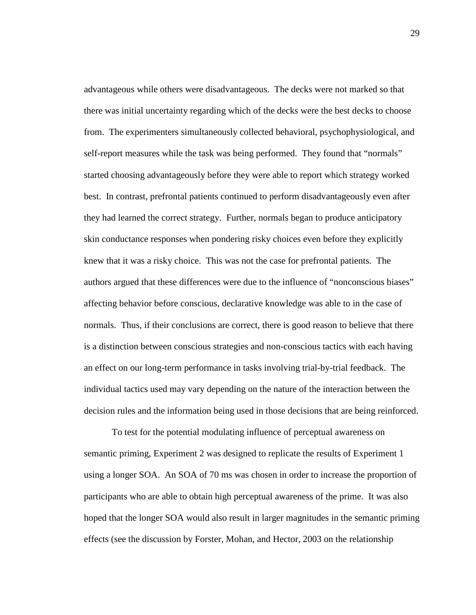advantageous while others were disadvantageous. The decks were not marked so that there was initial uncertainty regarding which of the decks were the best decks to choose from. The experimenters simultaneously collected behavioral, psychophysiological, and self-report measures while the task was being performed. They found that "normals" started choosing advantageously before they were able to report which strategy worked best. In contrast, prefrontal patients continued to perform disadvantageously even after they had learned the correct strategy. Further, normals began to produce anticipatory skin conductance responses when pondering risky choices even before they explicitly knew that it was a risky choice. This was not the case for prefrontal patients. The authors argued that these differences were due to the influence of "nonconscious biases" affecting behavior before conscious, declarative knowledge was able to in the case of normals. Thus, if their conclusions are correct, there is good reason to believe that there is a distinction between conscious strategies and non-conscious tactics with each having an effect on our long-term performance in tasks involving trial-by-trial feedback. The individual tactics used may vary depending on the nature of the interaction between the decision rules and the information being used in those decisions that are being reinforced.

To test for the potential modulating influence of perceptual awareness on semantic priming, Experiment 2 was designed to replicate the results of Experiment 1 using a longer SOA. An SOA of 70 ms was chosen in order to increase the proportion of participants who are able to obtain high perceptual awareness of the prime. It was also hoped that the longer SOA would also result in larger magnitudes in the semantic priming effects (see the discussion by Forster, Mohan, and Hector, 2003 on the relationship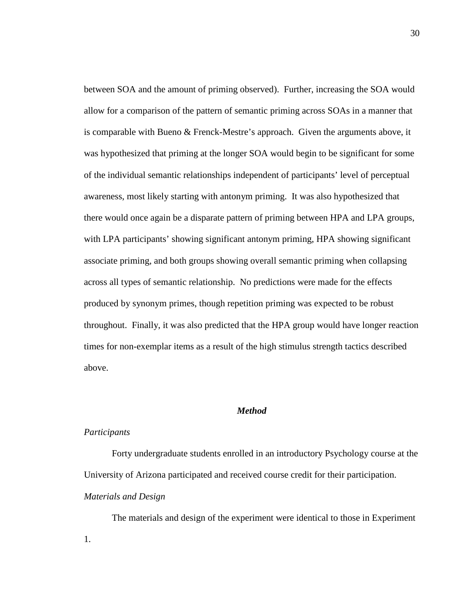between SOA and the amount of priming observed). Further, increasing the SOA would allow for a comparison of the pattern of semantic priming across SOAs in a manner that is comparable with Bueno & Frenck-Mestre's approach. Given the arguments above, it was hypothesized that priming at the longer SOA would begin to be significant for some of the individual semantic relationships independent of participants' level of perceptual awareness, most likely starting with antonym priming. It was also hypothesized that there would once again be a disparate pattern of priming between HPA and LPA groups, with LPA participants' showing significant antonym priming, HPA showing significant associate priming, and both groups showing overall semantic priming when collapsing across all types of semantic relationship. No predictions were made for the effects produced by synonym primes, though repetition priming was expected to be robust throughout. Finally, it was also predicted that the HPA group would have longer reaction times for non-exemplar items as a result of the high stimulus strength tactics described above.

## *Method*

#### *Participants*

Forty undergraduate students enrolled in an introductory Psychology course at the University of Arizona participated and received course credit for their participation. *Materials and Design* 

The materials and design of the experiment were identical to those in Experiment 1.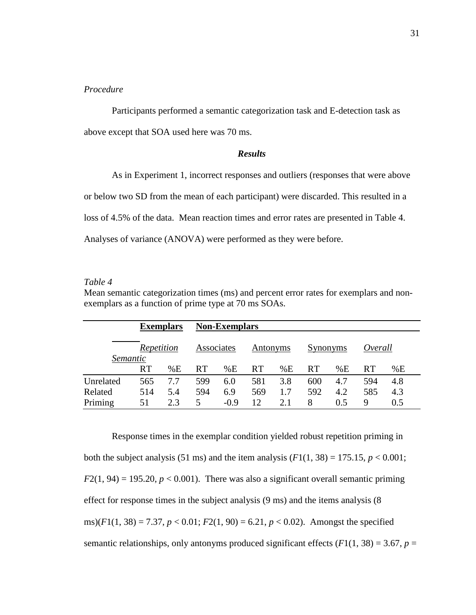#### *Procedure*

Participants performed a semantic categorization task and E-detection task as above except that SOA used here was 70 ms.

### *Results*

 As in Experiment 1, incorrect responses and outliers (responses that were above or below two SD from the mean of each participant) were discarded. This resulted in a loss of 4.5% of the data. Mean reaction times and error rates are presented in Table 4. Analyses of variance (ANOVA) were performed as they were before.

## *Table 4*

Mean semantic categorization times (ms) and percent error rates for exemplars and nonexemplars as a function of prime type at 70 ms SOAs.

|                        | <b>Exemplars</b> |     | <b>Non-Exemplars</b> |        |           |     |           |     |           |     |  |  |
|------------------------|------------------|-----|----------------------|--------|-----------|-----|-----------|-----|-----------|-----|--|--|
| Repetition<br>Semantic |                  |     | Associates           |        | Antonyms  |     | Synonyms  |     | Overall   |     |  |  |
|                        | <b>RT</b>        | %E  | <b>RT</b>            | %E     | <b>RT</b> | %E  | <b>RT</b> | %E  | <b>RT</b> | %E  |  |  |
| Unrelated              | 565              | 7.7 | 599                  | 6.0    | 581       | 3.8 | 600       | 4.7 | 594       | 4.8 |  |  |
| Related                | 514              | 5.4 | 594                  | 6.9    | 569       | 1.7 | 592       | 4.2 | 585       | 4.3 |  |  |
| Priming                | 51               | 2.3 | 5                    | $-0.9$ | 12        | 2.1 | 8         | 0.5 | Q         | 0.5 |  |  |

 Response times in the exemplar condition yielded robust repetition priming in both the subject analysis (51 ms) and the item analysis  $(F1(1, 38) = 175.15, p < 0.001;$  $F2(1, 94) = 195.20, p < 0.001$ . There was also a significant overall semantic priming effect for response times in the subject analysis (9 ms) and the items analysis (8 ms)( $F1(1, 38) = 7.37$ ,  $p < 0.01$ ;  $F2(1, 90) = 6.21$ ,  $p < 0.02$ ). Amongst the specified semantic relationships, only antonyms produced significant effects  $(F1(1, 38) = 3.67, p =$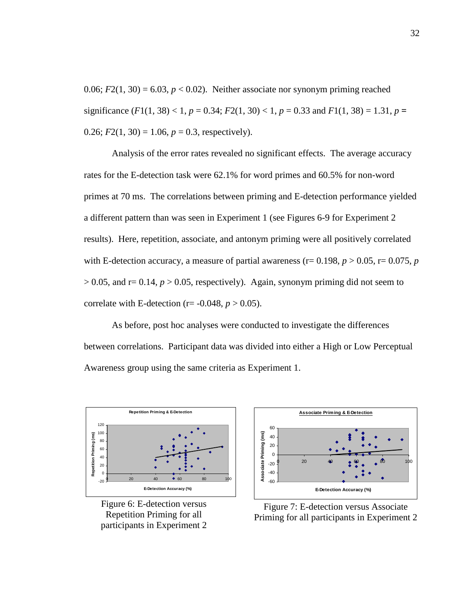0.06;  $F2(1, 30) = 6.03$ ,  $p < 0.02$ ). Neither associate nor synonym priming reached significance  $(F1(1, 38) < 1, p = 0.34; F2(1, 30) < 1, p = 0.33$  and  $F1(1, 38) = 1.31, p =$ 0.26;  $F2(1, 30) = 1.06$ ,  $p = 0.3$ , respectively).

 Analysis of the error rates revealed no significant effects. The average accuracy rates for the E-detection task were 62.1% for word primes and 60.5% for non-word primes at 70 ms. The correlations between priming and E-detection performance yielded a different pattern than was seen in Experiment 1 (see Figures 6-9 for Experiment 2 results). Here, repetition, associate, and antonym priming were all positively correlated with E-detection accuracy, a measure of partial awareness ( $r= 0.198$ ,  $p > 0.05$ ,  $r= 0.075$ ,  $p = 0.075$  $> 0.05$ , and r= 0.14,  $p > 0.05$ , respectively). Again, synonym priming did not seem to correlate with E-detection ( $r = -0.048$ ,  $p > 0.05$ ).

 As before, post hoc analyses were conducted to investigate the differences between correlations. Participant data was divided into either a High or Low Perceptual Awareness group using the same criteria as Experiment 1.



Figure 6: E-detection versus Repetition Priming for all participants in Experiment 2



Figure 7: E-detection versus Associate Priming for all participants in Experiment 2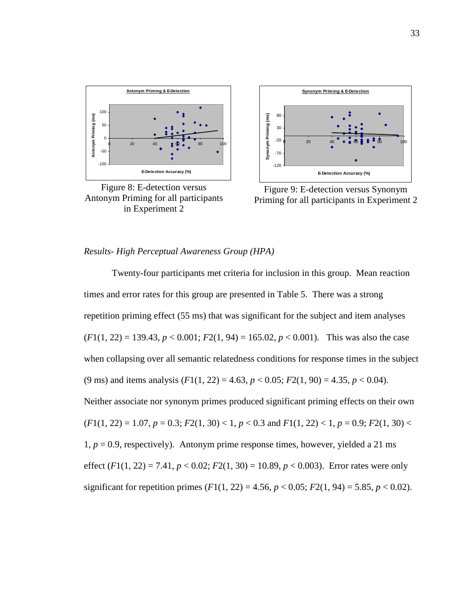

Figure 8: E-detection versus Antonym Priming for all participants in Experiment 2



Figure 9: E-detection versus Synonym Priming for all participants in Experiment 2

## *Results- High Perceptual Awareness Group (HPA)*

 Twenty-four participants met criteria for inclusion in this group. Mean reaction times and error rates for this group are presented in Table 5. There was a strong repetition priming effect (55 ms) that was significant for the subject and item analyses  $(F1(1, 22) = 139.43, p < 0.001; F2(1, 94) = 165.02, p < 0.001$ . This was also the case when collapsing over all semantic relatedness conditions for response times in the subject (9 ms) and items analysis  $(F1(1, 22) = 4.63, p < 0.05; F2(1, 90) = 4.35, p < 0.04)$ . Neither associate nor synonym primes produced significant priming effects on their own  $(F1(1, 22) = 1.07, p = 0.3; F2(1, 30) < 1, p < 0.3$  and  $F1(1, 22) < 1, p = 0.9; F2(1, 30) <$  $1, p = 0.9$ , respectively). Antonym prime response times, however, yielded a 21 ms effect  $(F1(1, 22) = 7.41, p < 0.02; F2(1, 30) = 10.89, p < 0.003$ ). Error rates were only significant for repetition primes  $(F1(1, 22) = 4.56, p < 0.05; F2(1, 94) = 5.85, p < 0.02)$ .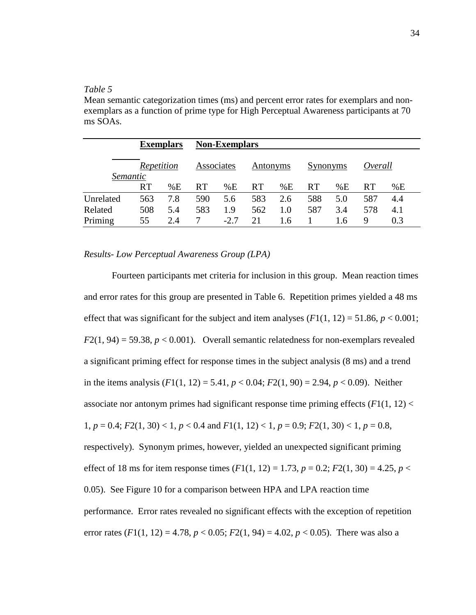## *Table 5*

Mean semantic categorization times (ms) and percent error rates for exemplars and nonexemplars as a function of prime type for High Perceptual Awareness participants at 70 ms SOAs.

|           | <b>Exemplars</b> |     | <b>Non-Exemplars</b> |        |           |     |           |     |         |     |  |
|-----------|------------------|-----|----------------------|--------|-----------|-----|-----------|-----|---------|-----|--|
| Semantic  | Repetition       |     | Associates           |        | Antonyms  |     | Synonyms  |     | Overall |     |  |
|           | <b>RT</b>        | %E  | <b>RT</b>            | %E     | <b>RT</b> | %E  | <b>RT</b> | %E  | RT      | %E  |  |
| Unrelated | 563              | 7.8 | 590                  | 5.6    | 583       | 2.6 | 588       | 5.0 | 587     | 4.4 |  |
| Related   | 508              | 5.4 | 583                  | 1.9    | 562       | 1.0 | 587       | 3.4 | 578     | 4.1 |  |
| Priming   | 55               | 2.4 |                      | $-2.7$ | 21        | 1.6 |           | 1.6 | 9       | 0.3 |  |

## *Results- Low Perceptual Awareness Group (LPA)*

Fourteen participants met criteria for inclusion in this group. Mean reaction times and error rates for this group are presented in Table 6. Repetition primes yielded a 48 ms effect that was significant for the subject and item analyses  $(F1(1, 12) = 51.86, p < 0.001;$  $F2(1, 94) = 59.38$ ,  $p < 0.001$ ). Overall semantic relatedness for non-exemplars revealed a significant priming effect for response times in the subject analysis (8 ms) and a trend in the items analysis  $(F1(1, 12) = 5.41, p < 0.04; F2(1, 90) = 2.94, p < 0.09$ ). Neither associate nor antonym primes had significant response time priming effects (*F*1(1, 12) < 1, *p* = 0.4; *F*2(1, 30) < 1, *p* < 0.4 and *F*1(1, 12) < 1, *p* = 0.9; *F*2(1, 30) < 1, *p* = 0.8, respectively). Synonym primes, however, yielded an unexpected significant priming effect of 18 ms for item response times  $(F1(1, 12) = 1.73, p = 0.2; F2(1, 30) = 4.25, p <$ 0.05). See Figure 10 for a comparison between HPA and LPA reaction time performance. Error rates revealed no significant effects with the exception of repetition error rates  $(F1(1, 12) = 4.78, p < 0.05; F2(1, 94) = 4.02, p < 0.05)$ . There was also a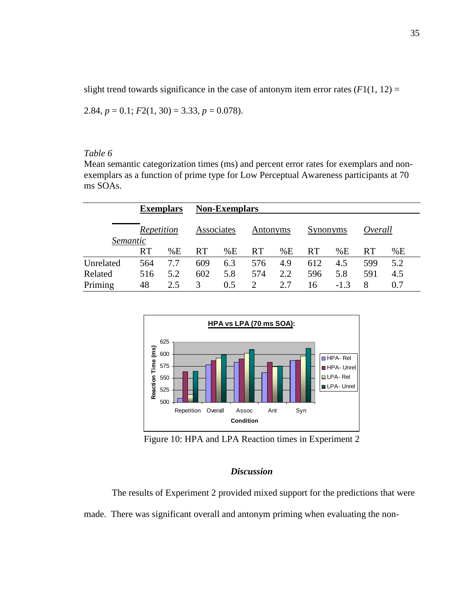slight trend towards significance in the case of antonym item error rates  $(F1(1, 12) =$ 

$$
2.84, p = 0.1; F2(1, 30) = 3.33, p = 0.078.
$$

#### *Table 6*

Mean semantic categorization times (ms) and percent error rates for exemplars and nonexemplars as a function of prime type for Low Perceptual Awareness participants at 70 ms SOAs.

|           | <b>Exemplars</b> |     | <b>Non-Exemplars</b> |     |                       |     |           |        |           |     |  |
|-----------|------------------|-----|----------------------|-----|-----------------------|-----|-----------|--------|-----------|-----|--|
| Semantic  | Repetition       |     | Associates           |     | Antonyms              |     | Synonyms  |        | Overall   |     |  |
|           | <b>RT</b>        | %E  | <b>RT</b>            | %E  | <b>RT</b>             | %E  | <b>RT</b> | %E     | <b>RT</b> | %E  |  |
| Unrelated | 564              | 7.7 | 609                  | 6.3 | 576                   | 4.9 | 612       | 4.5    | 599       | 5.2 |  |
| Related   | 516              | 5.2 | 602                  | 5.8 | 574                   | 2.2 | 596       | 5.8    | 591       | 4.5 |  |
| Priming   | 48               | 2.5 | 3                    | 0.5 | $\mathcal{D}_{\cdot}$ | 2.7 | 16        | $-1.3$ | 8         | 0.7 |  |



Figure 10: HPA and LPA Reaction times in Experiment 2

## *Discussion*

 The results of Experiment 2 provided mixed support for the predictions that were made. There was significant overall and antonym priming when evaluating the non-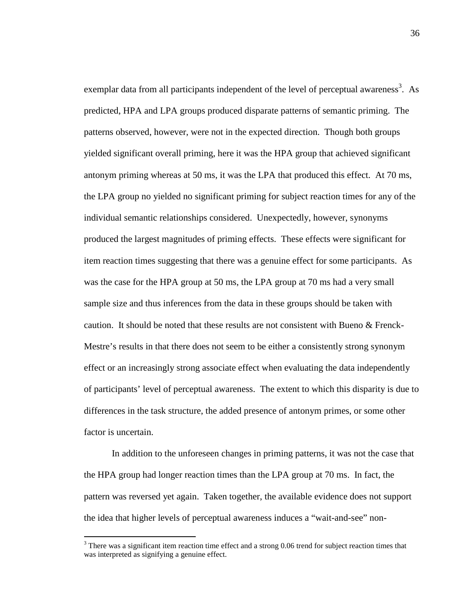exemplar data from all participants independent of the level of perceptual awareness<sup>3</sup>. As predicted, HPA and LPA groups produced disparate patterns of semantic priming. The patterns observed, however, were not in the expected direction. Though both groups yielded significant overall priming, here it was the HPA group that achieved significant antonym priming whereas at 50 ms, it was the LPA that produced this effect. At 70 ms, the LPA group no yielded no significant priming for subject reaction times for any of the individual semantic relationships considered. Unexpectedly, however, synonyms produced the largest magnitudes of priming effects. These effects were significant for item reaction times suggesting that there was a genuine effect for some participants. As was the case for the HPA group at 50 ms, the LPA group at 70 ms had a very small sample size and thus inferences from the data in these groups should be taken with caution. It should be noted that these results are not consistent with Bueno & Frenck-Mestre's results in that there does not seem to be either a consistently strong synonym effect or an increasingly strong associate effect when evaluating the data independently of participants' level of perceptual awareness. The extent to which this disparity is due to differences in the task structure, the added presence of antonym primes, or some other factor is uncertain.

 In addition to the unforeseen changes in priming patterns, it was not the case that the HPA group had longer reaction times than the LPA group at 70 ms. In fact, the pattern was reversed yet again. Taken together, the available evidence does not support the idea that higher levels of perceptual awareness induces a "wait-and-see" non-

<u>.</u>

 $3$  There was a significant item reaction time effect and a strong 0.06 trend for subject reaction times that was interpreted as signifying a genuine effect.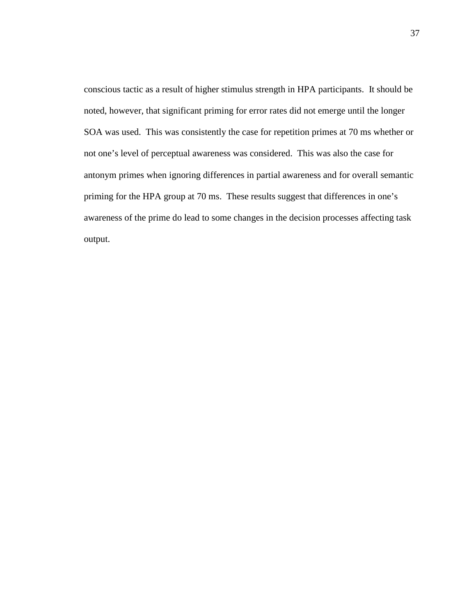conscious tactic as a result of higher stimulus strength in HPA participants. It should be noted, however, that significant priming for error rates did not emerge until the longer SOA was used. This was consistently the case for repetition primes at 70 ms whether or not one's level of perceptual awareness was considered. This was also the case for antonym primes when ignoring differences in partial awareness and for overall semantic priming for the HPA group at 70 ms. These results suggest that differences in one's awareness of the prime do lead to some changes in the decision processes affecting task output.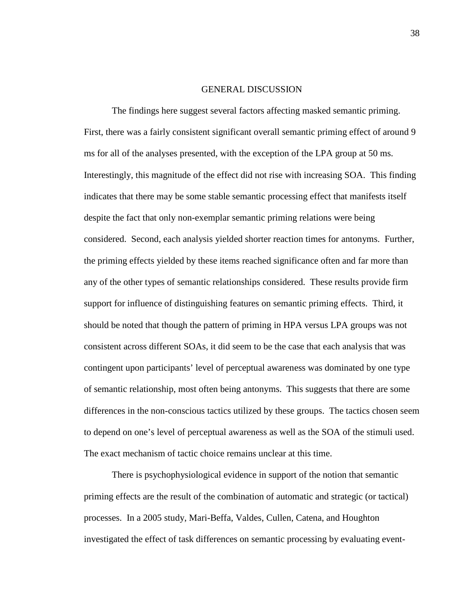#### GENERAL DISCUSSION

The findings here suggest several factors affecting masked semantic priming. First, there was a fairly consistent significant overall semantic priming effect of around 9 ms for all of the analyses presented, with the exception of the LPA group at 50 ms. Interestingly, this magnitude of the effect did not rise with increasing SOA. This finding indicates that there may be some stable semantic processing effect that manifests itself despite the fact that only non-exemplar semantic priming relations were being considered. Second, each analysis yielded shorter reaction times for antonyms. Further, the priming effects yielded by these items reached significance often and far more than any of the other types of semantic relationships considered. These results provide firm support for influence of distinguishing features on semantic priming effects. Third, it should be noted that though the pattern of priming in HPA versus LPA groups was not consistent across different SOAs, it did seem to be the case that each analysis that was contingent upon participants' level of perceptual awareness was dominated by one type of semantic relationship, most often being antonyms. This suggests that there are some differences in the non-conscious tactics utilized by these groups. The tactics chosen seem to depend on one's level of perceptual awareness as well as the SOA of the stimuli used. The exact mechanism of tactic choice remains unclear at this time.

There is psychophysiological evidence in support of the notion that semantic priming effects are the result of the combination of automatic and strategic (or tactical) processes. In a 2005 study, Mari-Beffa, Valdes, Cullen, Catena, and Houghton investigated the effect of task differences on semantic processing by evaluating event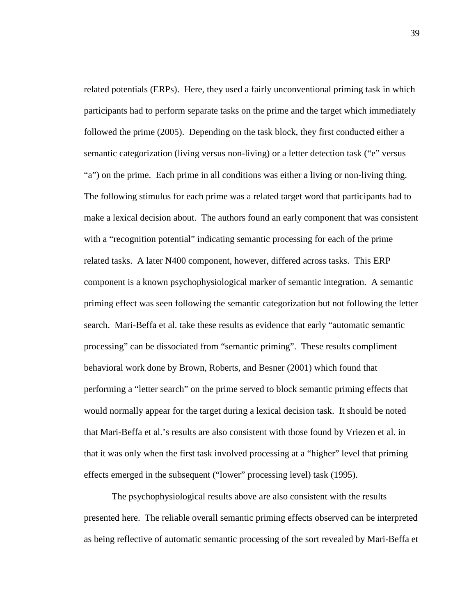related potentials (ERPs). Here, they used a fairly unconventional priming task in which participants had to perform separate tasks on the prime and the target which immediately followed the prime (2005). Depending on the task block, they first conducted either a semantic categorization (living versus non-living) or a letter detection task ("e" versus "a") on the prime. Each prime in all conditions was either a living or non-living thing. The following stimulus for each prime was a related target word that participants had to make a lexical decision about. The authors found an early component that was consistent with a "recognition potential" indicating semantic processing for each of the prime related tasks. A later N400 component, however, differed across tasks. This ERP component is a known psychophysiological marker of semantic integration. A semantic priming effect was seen following the semantic categorization but not following the letter search. Mari-Beffa et al. take these results as evidence that early "automatic semantic processing" can be dissociated from "semantic priming". These results compliment behavioral work done by Brown, Roberts, and Besner (2001) which found that performing a "letter search" on the prime served to block semantic priming effects that would normally appear for the target during a lexical decision task. It should be noted that Mari-Beffa et al.'s results are also consistent with those found by Vriezen et al. in that it was only when the first task involved processing at a "higher" level that priming effects emerged in the subsequent ("lower" processing level) task (1995).

 The psychophysiological results above are also consistent with the results presented here. The reliable overall semantic priming effects observed can be interpreted as being reflective of automatic semantic processing of the sort revealed by Mari-Beffa et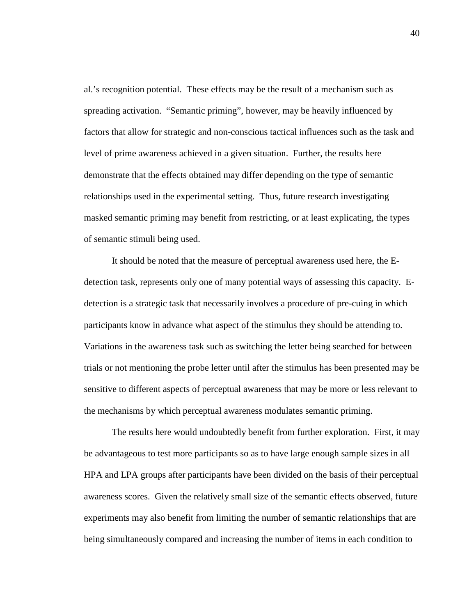al.'s recognition potential. These effects may be the result of a mechanism such as spreading activation. "Semantic priming", however, may be heavily influenced by factors that allow for strategic and non-conscious tactical influences such as the task and level of prime awareness achieved in a given situation. Further, the results here demonstrate that the effects obtained may differ depending on the type of semantic relationships used in the experimental setting. Thus, future research investigating masked semantic priming may benefit from restricting, or at least explicating, the types of semantic stimuli being used.

 It should be noted that the measure of perceptual awareness used here, the Edetection task, represents only one of many potential ways of assessing this capacity. Edetection is a strategic task that necessarily involves a procedure of pre-cuing in which participants know in advance what aspect of the stimulus they should be attending to. Variations in the awareness task such as switching the letter being searched for between trials or not mentioning the probe letter until after the stimulus has been presented may be sensitive to different aspects of perceptual awareness that may be more or less relevant to the mechanisms by which perceptual awareness modulates semantic priming.

 The results here would undoubtedly benefit from further exploration. First, it may be advantageous to test more participants so as to have large enough sample sizes in all HPA and LPA groups after participants have been divided on the basis of their perceptual awareness scores. Given the relatively small size of the semantic effects observed, future experiments may also benefit from limiting the number of semantic relationships that are being simultaneously compared and increasing the number of items in each condition to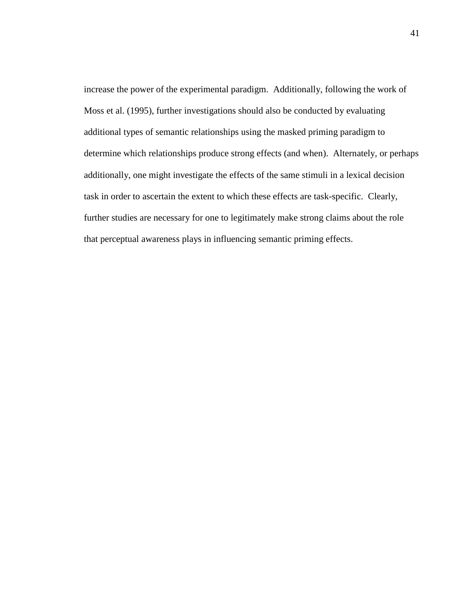increase the power of the experimental paradigm. Additionally, following the work of Moss et al. (1995), further investigations should also be conducted by evaluating additional types of semantic relationships using the masked priming paradigm to determine which relationships produce strong effects (and when). Alternately, or perhaps additionally, one might investigate the effects of the same stimuli in a lexical decision task in order to ascertain the extent to which these effects are task-specific. Clearly, further studies are necessary for one to legitimately make strong claims about the role that perceptual awareness plays in influencing semantic priming effects.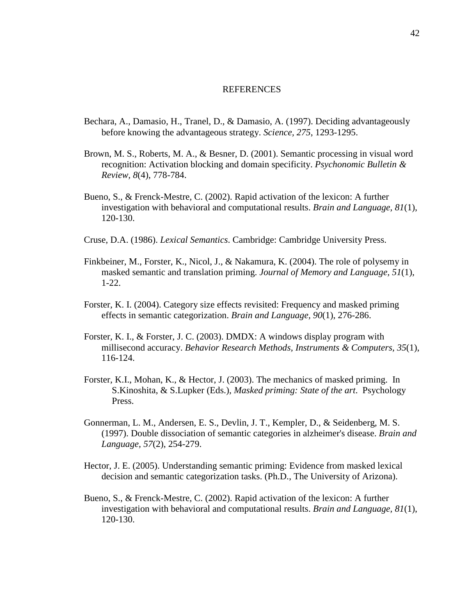#### **REFERENCES**

- Bechara, A., Damasio, H., Tranel, D., & Damasio, A. (1997). Deciding advantageously before knowing the advantageous strategy. *Science, 275*, 1293-1295.
- Brown, M. S., Roberts, M. A., & Besner, D. (2001). Semantic processing in visual word recognition: Activation blocking and domain specificity. *Psychonomic Bulletin & Review, 8*(4), 778-784.
- Bueno, S., & Frenck-Mestre, C. (2002). Rapid activation of the lexicon: A further investigation with behavioral and computational results. *Brain and Language, 81*(1), 120-130.
- Cruse, D.A. (1986). *Lexical Semantics*. Cambridge: Cambridge University Press.
- Finkbeiner, M., Forster, K., Nicol, J., & Nakamura, K. (2004). The role of polysemy in masked semantic and translation priming. *Journal of Memory and Language, 51*(1), 1-22.
- Forster, K. I. (2004). Category size effects revisited: Frequency and masked priming effects in semantic categorization. *Brain and Language, 90*(1), 276-286.
- Forster, K. I., & Forster, J. C. (2003). DMDX: A windows display program with millisecond accuracy. *Behavior Research Methods, Instruments & Computers, 35*(1), 116-124.
- Forster, K.I., Mohan, K., & Hector, J. (2003). The mechanics of masked priming. In S.Kinoshita, & S.Lupker (Eds.), *Masked priming: State of the art*. Psychology Press.
- Gonnerman, L. M., Andersen, E. S., Devlin, J. T., Kempler, D., & Seidenberg, M. S. (1997). Double dissociation of semantic categories in alzheimer's disease. *Brain and Language, 57*(2), 254-279.
- Hector, J. E. (2005). Understanding semantic priming: Evidence from masked lexical decision and semantic categorization tasks. (Ph.D., The University of Arizona).
- Bueno, S., & Frenck-Mestre, C. (2002). Rapid activation of the lexicon: A further investigation with behavioral and computational results. *Brain and Language, 81*(1), 120-130.